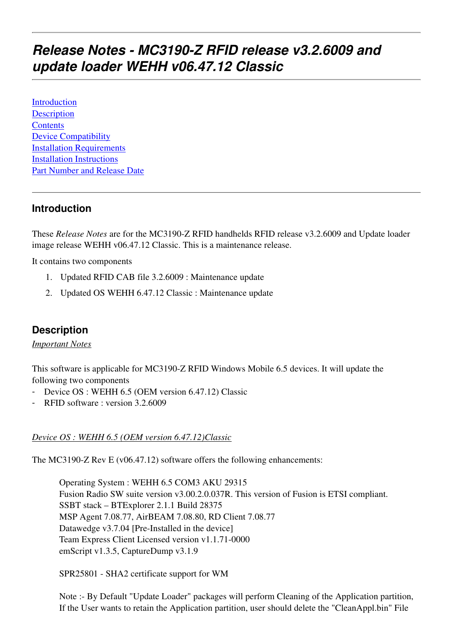# **Release Notes - MC3190-Z RFID release v3.2.6009 and update loader WEHH v06.47.12 Classic**

Introduction **Description Contents** Device Compatibility Installation Requirements Installation Instructions Part Number and Release Date

## **Introduction**

These *Release Notes* are for the MC3190-Z RFID handhelds RFID release v3.2.6009 and Update loader image release WEHH v06.47.12 Classic. This is a maintenance release.

It contains two components

- 1. Updated RFID CAB file 3.2.6009 : Maintenance update
- 2. Updated OS WEHH 6.47.12 Classic : Maintenance update

## **Description**

#### *Important Notes*

This software is applicable for MC3190-Z RFID Windows Mobile 6.5 devices. It will update the following two components

- Device OS : WEHH 6.5 (OEM version 6.47.12) Classic
- RFID software : version 3.2.6009

#### *Device OS : WEHH 6.5 (OEM version 6.47.12)Classic*

The MC3190-Z Rev E (v06.47.12) software offers the following enhancements:

Operating System : WEHH 6.5 COM3 AKU 29315 Fusion Radio SW suite version v3.00.2.0.037R. This version of Fusion is ETSI compliant. SSBT stack – BTExplorer 2.1.1 Build 28375 MSP Agent 7.08.77, AirBEAM 7.08.80, RD Client 7.08.77 Datawedge v3.7.04 [Pre-Installed in the device] Team Express Client Licensed version v1.1.71-0000 emScript v1.3.5, CaptureDump v3.1.9

SPR25801 - SHA2 certificate support for WM

Note :- By Default "Update Loader" packages will perform Cleaning of the Application partition, If the User wants to retain the Application partition, user should delete the "CleanAppl.bin" File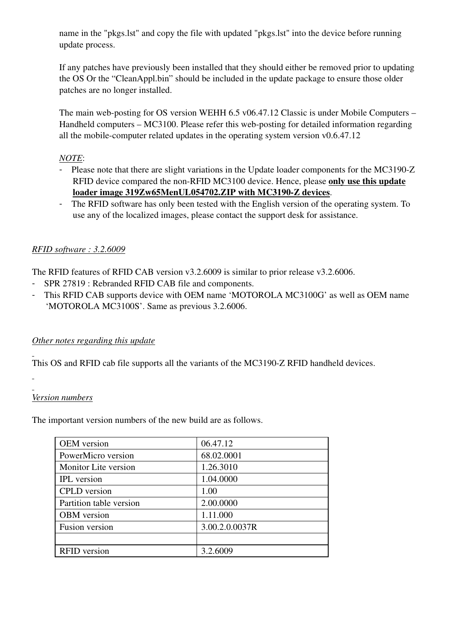name in the "pkgs.lst" and copy the file with updated "pkgs.lst" into the device before running update process.

If any patches have previously been installed that they should either be removed prior to updating the OS Or the "CleanAppl.bin" should be included in the update package to ensure those older patches are no longer installed.

The main web-posting for OS version WEHH 6.5 v06.47.12 Classic is under Mobile Computers – Handheld computers – MC3100. Please refer this web-posting for detailed information regarding all the mobile-computer related updates in the operating system version v0.6.47.12

#### *NOTE*:

- Please note that there are slight variations in the Update loader components for the MC3190-Z RFID device compared the non-RFID MC3100 device. Hence, please **only use this update loader image 319Zw65MenUL054702.ZIP with MC3190-Z devices**.
- The RFID software has only been tested with the English version of the operating system. To use any of the localized images, please contact the support desk for assistance.

#### *RFID software : 3.2.6009*

The RFID features of RFID CAB version v3.2.6009 is similar to prior release v3.2.6006.

- SPR 27819 : Rebranded RFID CAB file and components.
- This RFID CAB supports device with OEM name 'MOTOROLA MC3100G' as well as OEM name 'MOTOROLA MC3100S'. Same as previous 3.2.6006.

#### *Other notes regarding this update*

This OS and RFID cab file supports all the variants of the MC3190-Z RFID handheld devices.

*Version numbers*

 $\frac{1}{2}$ 

The important version numbers of the new build are as follows.

| <b>OEM</b> version      | 06.47.12       |
|-------------------------|----------------|
| PowerMicro version      | 68.02.0001     |
| Monitor Lite version    | 1.26.3010      |
| <b>IPL</b> version      | 1.04.0000      |
| <b>CPLD</b> version     | 1.00           |
| Partition table version | 2.00.0000      |
| <b>OBM</b> version      | 1.11.000       |
| <b>Fusion</b> version   | 3.00.2.0.0037R |
|                         |                |
| <b>RFID</b> version     | 3.2.6009       |